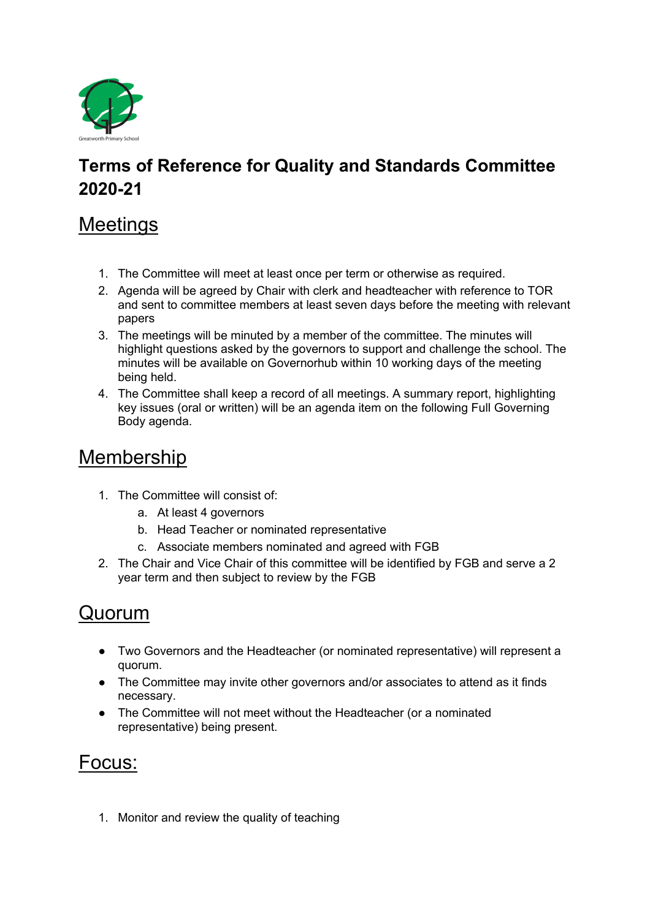

## **Terms of Reference for Quality and Standards Committee 2020-21**

### **Meetings**

- 1. The Committee will meet at least once per term or otherwise as required.
- 2. Agenda will be agreed by Chair with clerk and headteacher with reference to TOR and sent to committee members at least seven days before the meeting with relevant papers
- 3. The meetings will be minuted by a member of the committee. The minutes will highlight questions asked by the governors to support and challenge the school. The minutes will be available on Governorhub within 10 working days of the meeting being held.
- 4. The Committee shall keep a record of all meetings. A summary report, highlighting key issues (oral or written) will be an agenda item on the following Full Governing Body agenda.

# Membership

- 1. The Committee will consist of:
	- a. At least 4 governors
	- b. Head Teacher or nominated representative
	- c. Associate members nominated and agreed with FGB
- 2. The Chair and Vice Chair of this committee will be identified by FGB and serve a 2 year term and then subject to review by the FGB

### Quorum

- Two Governors and the Headteacher (or nominated representative) will represent a quorum.
- The Committee may invite other governors and/or associates to attend as it finds necessary.
- The Committee will not meet without the Headteacher (or a nominated representative) being present.

# Focus:

1. Monitor and review the quality of teaching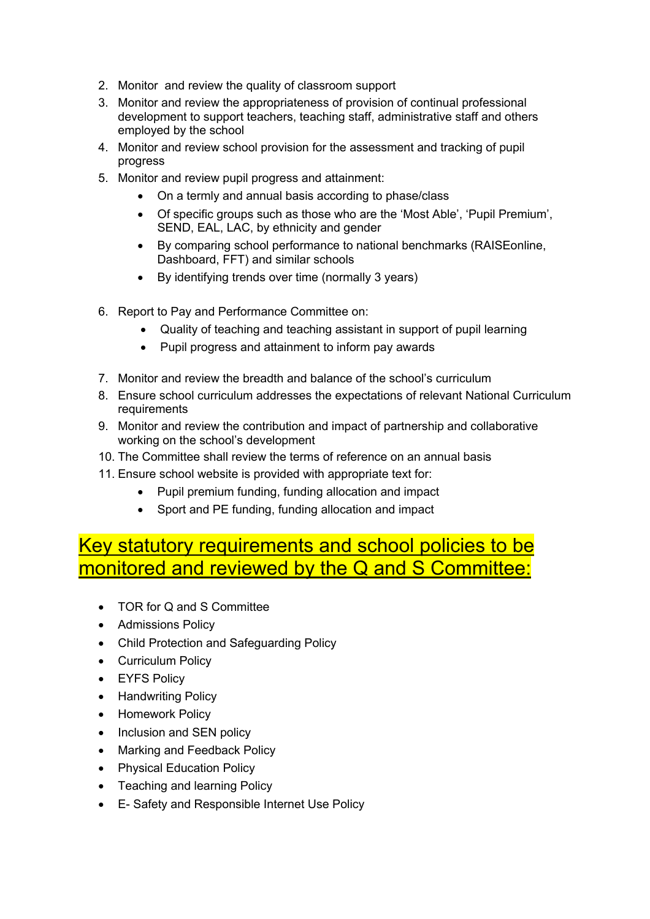- 2. Monitor and review the quality of classroom support
- 3. Monitor and review the appropriateness of provision of continual professional development to support teachers, teaching staff, administrative staff and others employed by the school
- 4. Monitor and review school provision for the assessment and tracking of pupil progress
- 5. Monitor and review pupil progress and attainment:
	- On a termly and annual basis according to phase/class
	- Of specific groups such as those who are the 'Most Able', 'Pupil Premium', SEND, EAL, LAC, by ethnicity and gender
	- By comparing school performance to national benchmarks (RAISEonline, Dashboard, FFT) and similar schools
	- By identifying trends over time (normally 3 years)
- 6. Report to Pay and Performance Committee on:
	- Quality of teaching and teaching assistant in support of pupil learning
	- Pupil progress and attainment to inform pay awards
- 7. Monitor and review the breadth and balance of the school's curriculum
- 8. Ensure school curriculum addresses the expectations of relevant National Curriculum requirements
- 9. Monitor and review the contribution and impact of partnership and collaborative working on the school's development
- 10. The Committee shall review the terms of reference on an annual basis
- 11. Ensure school website is provided with appropriate text for:
	- Pupil premium funding, funding allocation and impact
	- Sport and PE funding, funding allocation and impact

### Key statutory requirements and school policies to be monitored and reviewed by the Q and S Committee:

- TOR for Q and S Committee
- Admissions Policy
- Child Protection and Safeguarding Policy
- Curriculum Policy
- EYFS Policy
- Handwriting Policy
- Homework Policy
- Inclusion and SEN policy
- Marking and Feedback Policy
- Physical Education Policy
- Teaching and learning Policy
- E- Safety and Responsible Internet Use Policy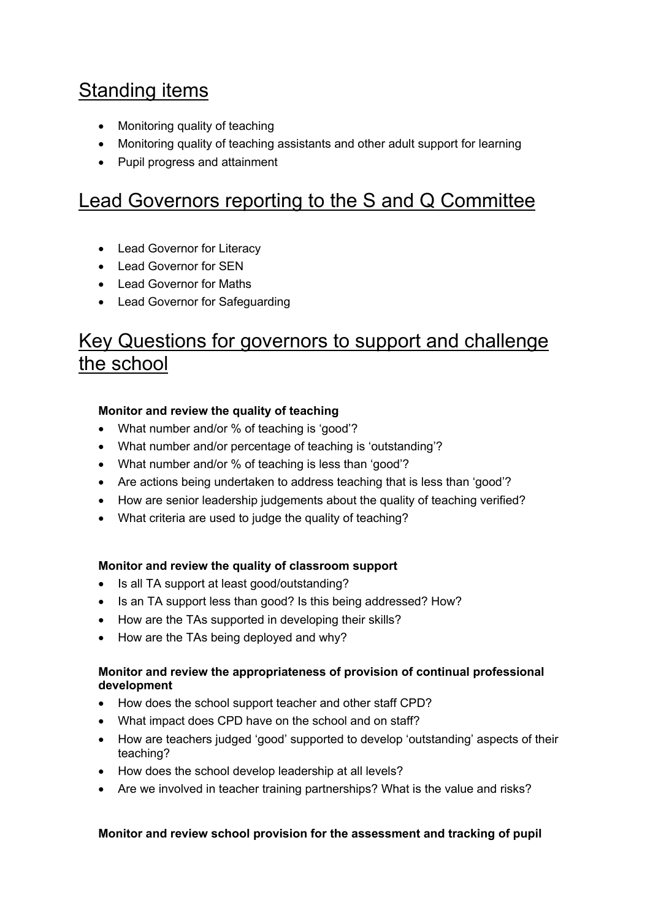# **Standing items**

- Monitoring quality of teaching
- Monitoring quality of teaching assistants and other adult support for learning
- Pupil progress and attainment

## Lead Governors reporting to the S and Q Committee

- Lead Governor for Literacy
- Lead Governor for SEN
- Lead Governor for Maths
- Lead Governor for Safeguarding

# Key Questions for governors to support and challenge the school

### **Monitor and review the quality of teaching**

- What number and/or % of teaching is 'good'?
- What number and/or percentage of teaching is 'outstanding'?
- What number and/or % of teaching is less than 'good'?
- Are actions being undertaken to address teaching that is less than 'good'?
- How are senior leadership judgements about the quality of teaching verified?
- What criteria are used to judge the quality of teaching?

### **Monitor and review the quality of classroom support**

- Is all TA support at least good/outstanding?
- Is an TA support less than good? Is this being addressed? How?
- How are the TAs supported in developing their skills?
- How are the TAs being deployed and why?

### **Monitor and review the appropriateness of provision of continual professional development**

- How does the school support teacher and other staff CPD?
- What impact does CPD have on the school and on staff?
- How are teachers judged 'good' supported to develop 'outstanding' aspects of their teaching?
- How does the school develop leadership at all levels?
- Are we involved in teacher training partnerships? What is the value and risks?

### **Monitor and review school provision for the assessment and tracking of pupil**